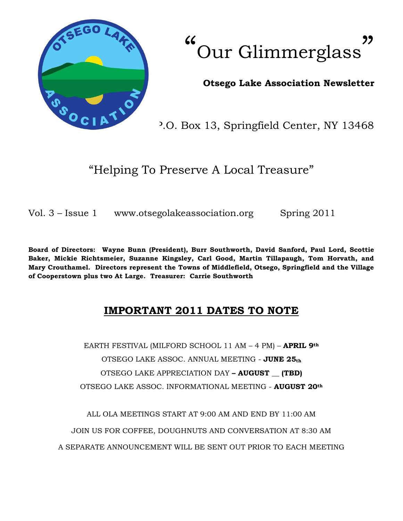

 $\epsilon$ Our Glimmerglass "

## **Otsego Lake Association Newsletter**

P.O. Box 13, Springfield Center, NY 13468

"Helping To Preserve A Local Treasure"

Vol. 3 – Issue 1 www.otsegolakeassociation.org Spring 2011

**Board of Directors: Wayne Bunn (President), Burr Southworth, David Sanford, Paul Lord, Scottie Baker, Mickie Richtsmeier, Suzanne Kingsley, Carl Good, Martin Tillapaugh, Tom Horvath, and Mary Crouthamel. Directors represent the Towns of Middlefield, Otsego, Springfield and the Village of Cooperstown plus two At Large. Treasurer: Carrie Southworth**

# **IMPORTANT 2011 DATES TO NOTE**

EARTH FESTIVAL (MILFORD SCHOOL 11 AM – 4 PM) – **APRIL 9th** OTSEGO LAKE ASSOC. ANNUAL MEETING - **JUNE 25th** OTSEGO LAKE APPRECIATION DAY **– AUGUST \_\_ (TBD)** OTSEGO LAKE ASSOC. INFORMATIONAL MEETING - **AUGUST 20th**

ALL OLA MEETINGS START AT 9:00 AM AND END BY 11:00 AM JOIN US FOR COFFEE, DOUGHNUTS AND CONVERSATION AT 8:30 AM A SEPARATE ANNOUNCEMENT WILL BE SENT OUT PRIOR TO EACH MEETING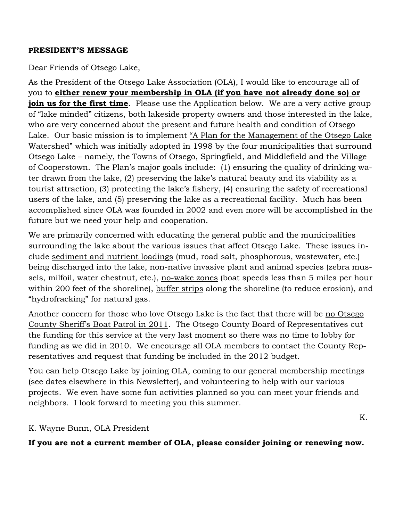#### **PRESIDENT'S MESSAGE**

Dear Friends of Otsego Lake,

As the President of the Otsego Lake Association (OLA), I would like to encourage all of you to **either renew your membership in OLA (if you have not already done so) or join us for the first time**. Please use the Application below. We are a very active group of "lake minded" citizens, both lakeside property owners and those interested in the lake, who are very concerned about the present and future health and condition of Otsego Lake. Our basic mission is to implement "A Plan for the Management of the Otsego Lake Watershed" which was initially adopted in 1998 by the four municipalities that surround Otsego Lake – namely, the Towns of Otsego, Springfield, and Middlefield and the Village of Cooperstown. The Plan's major goals include: (1) ensuring the quality of drinking water drawn from the lake, (2) preserving the lake's natural beauty and its viability as a tourist attraction, (3) protecting the lake's fishery, (4) ensuring the safety of recreational users of the lake, and (5) preserving the lake as a recreational facility. Much has been accomplished since OLA was founded in 2002 and even more will be accomplished in the future but we need your help and cooperation.

We are primarily concerned with educating the general public and the municipalities surrounding the lake about the various issues that affect Otsego Lake. These issues include sediment and nutrient loadings (mud, road salt, phosphorous, wastewater, etc.) being discharged into the lake, non-native invasive plant and animal species (zebra mussels, milfoil, water chestnut, etc.), no-wake zones (boat speeds less than 5 miles per hour within 200 feet of the shoreline), buffer strips along the shoreline (to reduce erosion), and "hydrofracking" for natural gas.

Another concern for those who love Otsego Lake is the fact that there will be no Otsego County Sheriff's Boat Patrol in 2011. The Otsego County Board of Representatives cut the funding for this service at the very last moment so there was no time to lobby for funding as we did in 2010. We encourage all OLA members to contact the County Representatives and request that funding be included in the 2012 budget.

You can help Otsego Lake by joining OLA, coming to our general membership meetings (see dates elsewhere in this Newsletter), and volunteering to help with our various projects. We even have some fun activities planned so you can meet your friends and neighbors. I look forward to meeting you this summer.

### K. Wayne Bunn, OLA President

**If you are not a current member of OLA, please consider joining or renewing now.**

K.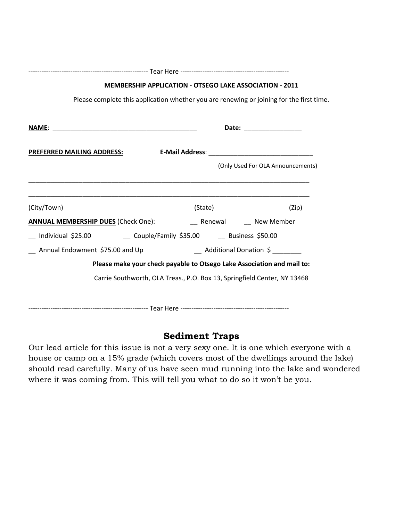| <b>MEMBERSHIP APPLICATION - OTSEGO LAKE ASSOCIATION - 2011</b>              |                           |                                   |
|-----------------------------------------------------------------------------|---------------------------|-----------------------------------|
|                                                                             |                           |                                   |
|                                                                             | Date: __________________  |                                   |
| <b>PREFERRED MAILING ADDRESS:</b>                                           |                           |                                   |
|                                                                             |                           | (Only Used For OLA Announcements) |
|                                                                             |                           |                                   |
| (City/Town)                                                                 | (State)                   | (Zip)                             |
|                                                                             |                           |                                   |
| __ Individual \$25.00       __ Couple/Family \$35.00    __ Business \$50.00 |                           |                                   |
| _ Annual Endowment \$75.00 and Up                                           | __ Additional Donation \$ |                                   |
| Please make your check payable to Otsego Lake Association and mail to:      |                           |                                   |
| Carrie Southworth, OLA Treas., P.O. Box 13, Springfield Center, NY 13468    |                           |                                   |
|                                                                             |                           |                                   |
|                                                                             |                           |                                   |

## **Sediment Traps**

Our lead article for this issue is not a very sexy one. It is one which everyone with a house or camp on a 15% grade (which covers most of the dwellings around the lake) should read carefully. Many of us have seen mud running into the lake and wondered where it was coming from. This will tell you what to do so it won't be you.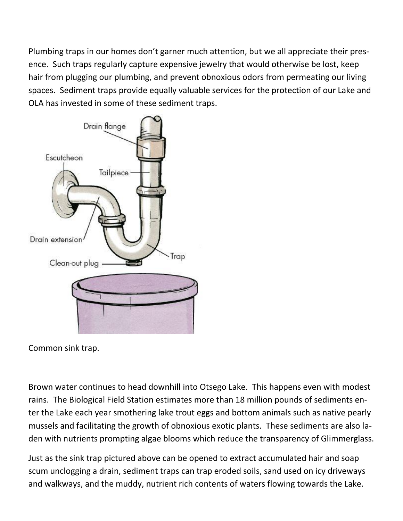Plumbing traps in our homes don't garner much attention, but we all appreciate their presence. Such traps regularly capture expensive jewelry that would otherwise be lost, keep hair from plugging our plumbing, and prevent obnoxious odors from permeating our living spaces. Sediment traps provide equally valuable services for the protection of our Lake and OLA has invested in some of these sediment traps.



Common sink trap.

Brown water continues to head downhill into Otsego Lake. This happens even with modest rains. The Biological Field Station estimates more than 18 million pounds of sediments enter the Lake each year smothering lake trout eggs and bottom animals such as native pearly mussels and facilitating the growth of obnoxious exotic plants. These sediments are also laden with nutrients prompting algae blooms which reduce the transparency of Glimmerglass.

Just as the sink trap pictured above can be opened to extract accumulated hair and soap scum unclogging a drain, sediment traps can trap eroded soils, sand used on icy driveways and walkways, and the muddy, nutrient rich contents of waters flowing towards the Lake.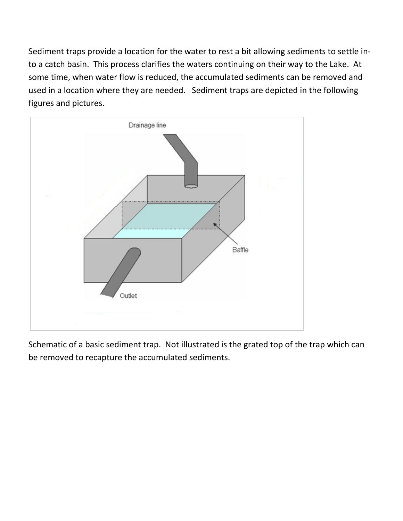Sediment traps provide a location for the water to rest a bit allowing sediments to settle into a catch basin. This process clarifies the waters continuing on their way to the Lake. At some time, when water flow is reduced, the accumulated sediments can be removed and used in a location where they are needed. Sediment traps are depicted in the following figures and pictures.



Schematic of a basic sediment trap. Not illustrated is the grated top of the trap which can be removed to recapture the accumulated sediments.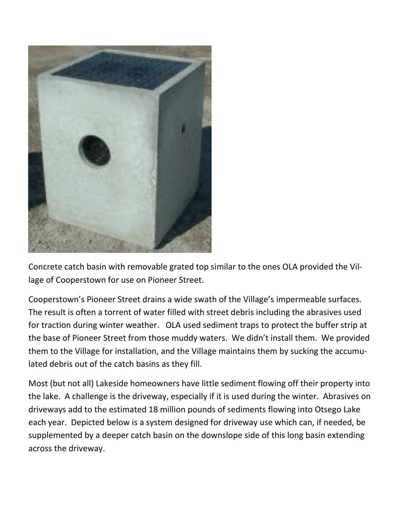

Concrete catch basin with removable grated top similar to the ones OLA provided the Village of Cooperstown for use on Pioneer Street.

Cooperstown's Pioneer Street drains a wide swath of the Village's impermeable surfaces. The result is often a torrent of water filled with street debris including the abrasives used for traction during winter weather. OLA used sediment traps to protect the buffer strip at the base of Pioneer Street from those muddy waters. We didn't install them. We provided them to the Village for installation, and the Village maintains them by sucking the accumulated debris out of the catch basins as they fill.

Most (but not all) Lakeside homeowners have little sediment flowing off their property into the lake. A challenge is the driveway, especially if it is used during the winter. Abrasives on driveways add to the estimated 18 million pounds of sediments flowing into Otsego Lake each year. Depicted below is a system designed for driveway use which can, if needed, be supplemented by a deeper catch basin on the downslope side of this long basin extending across the driveway.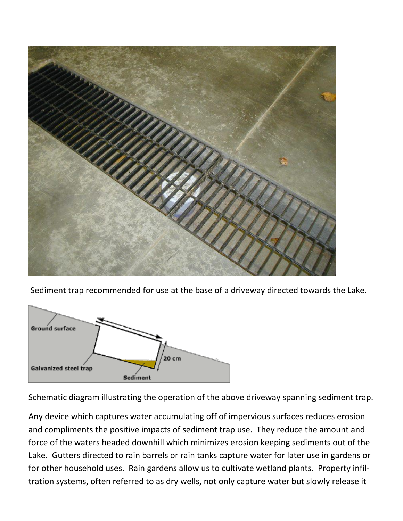

Sediment trap recommended for use at the base of a driveway directed towards the Lake.



Schematic diagram illustrating the operation of the above driveway spanning sediment trap.

Any device which captures water accumulating off of impervious surfaces reduces erosion and compliments the positive impacts of sediment trap use. They reduce the amount and force of the waters headed downhill which minimizes erosion keeping sediments out of the Lake. Gutters directed to rain barrels or rain tanks capture water for later use in gardens or for other household uses. Rain gardens allow us to cultivate wetland plants. Property infiltration systems, often referred to as dry wells, not only capture water but slowly release it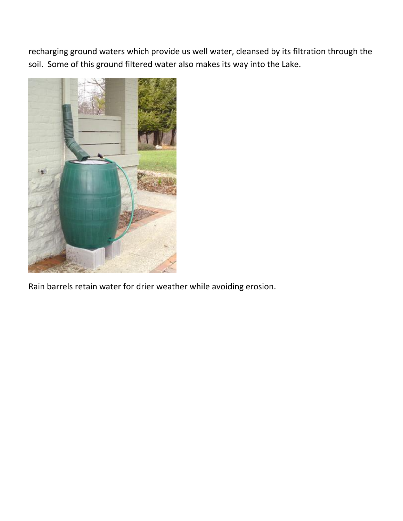recharging ground waters which provide us well water, cleansed by its filtration through the soil. Some of this ground filtered water also makes its way into the Lake.



Rain barrels retain water for drier weather while avoiding erosion.